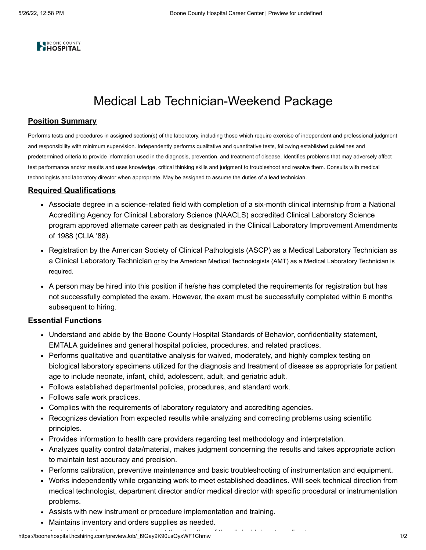

## Medical Lab Technician-Weekend Package

## **Position Summary**

Performs tests and procedures in assigned section(s) of the laboratory, including those which require exercise of independent and professional judgment and responsibility with minimum supervision. Independently performs qualitative and quantitative tests, following established guidelines and predetermined criteria to provide information used in the diagnosis, prevention, and treatment of disease. Identifies problems that may adversely affect test performance and/or results and uses knowledge, critical thinking skills and judgment to troubleshoot and resolve them. Consults with medical technologists and laboratory director when appropriate. May be assigned to assume the duties of a lead technician.

## **Required Qualifications**

- Associate degree in a science-related field with completion of a six-month clinical internship from a National Accrediting Agency for Clinical Laboratory Science (NAACLS) accredited Clinical Laboratory Science program approved alternate career path as designated in the Clinical Laboratory Improvement Amendments of 1988 (CLIA '88).
- Registration by the American Society of Clinical Pathologists (ASCP) as a Medical Laboratory Technician as a Clinical Laboratory Technician or by the American Medical Technologists (AMT) as a Medical Laboratory Technician is required.
- A person may be hired into this position if he/she has completed the requirements for registration but has not successfully completed the exam. However, the exam must be successfully completed within 6 months subsequent to hiring.

## **Essential Functions**

- Understand and abide by the Boone County Hospital Standards of Behavior, confidentiality statement, EMTALA guidelines and general hospital policies, procedures, and related practices.
- Performs qualitative and quantitative analysis for waived, moderately, and highly complex testing on biological laboratory specimens utilized for the diagnosis and treatment of disease as appropriate for patient age to include neonate, infant, child, adolescent, adult, and geriatric adult.
- Follows established departmental policies, procedures, and standard work.
- Follows safe work practices.
- Complies with the requirements of laboratory regulatory and accrediting agencies.
- Recognizes deviation from expected results while analyzing and correcting problems using scientific principles.
- Provides information to health care providers regarding test methodology and interpretation.
- Analyzes quality control data/material, makes judgment concerning the results and takes appropriate action to maintain test accuracy and precision.
- Performs calibration, preventive maintenance and basic troubleshooting of instrumentation and equipment.
- Works independently while organizing work to meet established deadlines. Will seek technical direction from medical technologist, department director and/or medical director with specific procedural or instrumentation problems.
- Assists with new instrument or procedure implementation and training.
- Maintains inventory and orders supplies as needed.